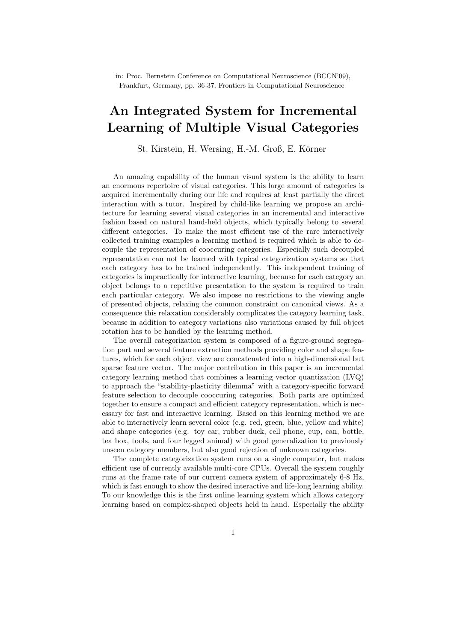in: Proc. Bernstein Conference on Computational Neuroscience (BCCN'09), Frankfurt, Germany, pp. 36-37, Frontiers in Computational Neuroscience

## An Integrated System for Incremental Learning of Multiple Visual Categories

St. Kirstein, H. Wersing, H.-M. Groß, E. Körner

An amazing capability of the human visual system is the ability to learn an enormous repertoire of visual categories. This large amount of categories is acquired incrementally during our life and requires at least partially the direct interaction with a tutor. Inspired by child-like learning we propose an architecture for learning several visual categories in an incremental and interactive fashion based on natural hand-held objects, which typically belong to several different categories. To make the most efficient use of the rare interactively collected training examples a learning method is required which is able to decouple the representation of cooccuring categories. Especially such decoupled representation can not be learned with typical categorization systems so that each category has to be trained independently. This independent training of categories is impractically for interactive learning, because for each category an object belongs to a repetitive presentation to the system is required to train each particular category. We also impose no restrictions to the viewing angle of presented objects, relaxing the common constraint on canonical views. As a consequence this relaxation considerably complicates the category learning task, because in addition to category variations also variations caused by full object rotation has to be handled by the learning method.

The overall categorization system is composed of a figure-ground segregation part and several feature extraction methods providing color and shape features, which for each object view are concatenated into a high-dimensional but sparse feature vector. The major contribution in this paper is an incremental category learning method that combines a learning vector quantization (LVQ) to approach the "stability-plasticity dilemma" with a category-specific forward feature selection to decouple cooccuring categories. Both parts are optimized together to ensure a compact and efficient category representation, which is necessary for fast and interactive learning. Based on this learning method we are able to interactively learn several color (e.g. red, green, blue, yellow and white) and shape categories (e.g. toy car, rubber duck, cell phone, cup, can, bottle, tea box, tools, and four legged animal) with good generalization to previously unseen category members, but also good rejection of unknown categories.

The complete categorization system runs on a single computer, but makes efficient use of currently available multi-core CPUs. Overall the system roughly runs at the frame rate of our current camera system of approximately 6-8 Hz, which is fast enough to show the desired interactive and life-long learning ability. To our knowledge this is the first online learning system which allows category learning based on complex-shaped objects held in hand. Especially the ability